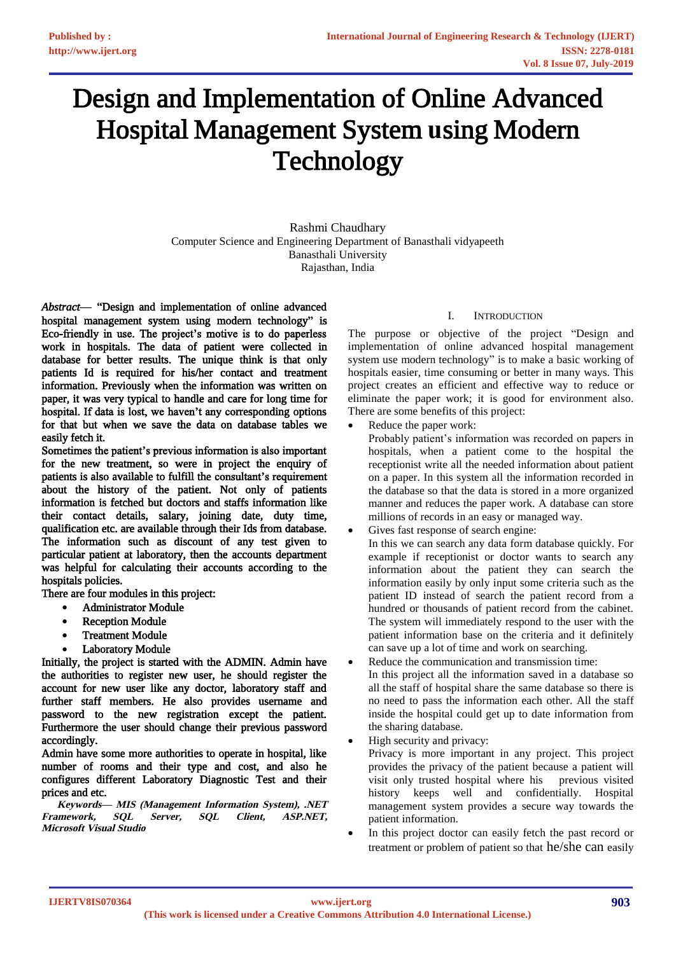# Design and Implementation of Online Advanced Hospital Management System **u**sing Modern **Technology**

Rashmi Chaudhary Computer Science and Engineering Department of Banasthali vidyapeeth Banasthali University Rajasthan, India

*Abstract*— "Design and implementation of online advanced hospital management system using modern technology" is Eco-friendly in use. The project's motive is to do paperless work in hospitals. The data of patient were collected in database for better results. The unique think is that only patients Id is required for his/her contact and treatment information. Previously when the information was written on paper, it was very typical to handle and care for long time for hospital. If data is lost, we haven't any corresponding options for that but when we save the data on database tables we easily fetch it.

Sometimes the patient's previous information is also important for the new treatment, so were in project the enquiry of patients is also available to fulfill the consultant's requirement about the history of the patient. Not only of patients information is fetched but doctors and staffs information like their contact details, salary, joining date, duty time, qualification etc. are available through their Ids from database. The information such as discount of any test given to particular patient at laboratory, then the accounts department was helpful for calculating their accounts according to the hospitals policies.

There are four modules in this project:

- Administrator Module
- **Reception Module**
- **Treatment Module**
- Laboratory Module

Initially, the project is started with the ADMIN. Admin have the authorities to register new user, he should register the account for new user like any doctor, laboratory staff and further staff members. He also provides username and password to the new registration except the patient. Furthermore the user should change their previous password accordingly.

Admin have some more authorities to operate in hospital, like number of rooms and their type and cost, and also he configures different Laboratory Diagnostic Test and their prices and etc.

**Keywords— MIS (Management Information System), .NET Framework, SQL Server, SQL Client, ASP.NET, Microsoft Visual Studio** 

# I. INTRODUCTION

The purpose or objective of the project "Design and implementation of online advanced hospital management system use modern technology" is to make a basic working of hospitals easier, time consuming or better in many ways. This project creates an efficient and effective way to reduce or eliminate the paper work; it is good for environment also. There are some benefits of this project:

Reduce the paper work:

Probably patient's information was recorded on papers in hospitals, when a patient come to the hospital the receptionist write all the needed information about patient on a paper. In this system all the information recorded in the database so that the data is stored in a more organized manner and reduces the paper work. A database can store millions of records in an easy or managed way.

- Gives fast response of search engine: In this we can search any data form database quickly. For example if receptionist or doctor wants to search any information about the patient they can search the information easily by only input some criteria such as the patient ID instead of search the patient record from a hundred or thousands of patient record from the cabinet. The system will immediately respond to the user with the patient information base on the criteria and it definitely can save up a lot of time and work on searching.
- Reduce the communication and transmission time: In this project all the information saved in a database so all the staff of hospital share the same database so there is no need to pass the information each other. All the staff inside the hospital could get up to date information from the sharing database.
- High security and privacy:

Privacy is more important in any project. This project provides the privacy of the patient because a patient will visit only trusted hospital where his previous visited history keeps well and confidentially. Hospital management system provides a secure way towards the patient information.

In this project doctor can easily fetch the past record or treatment or problem of patient so that he/she can easily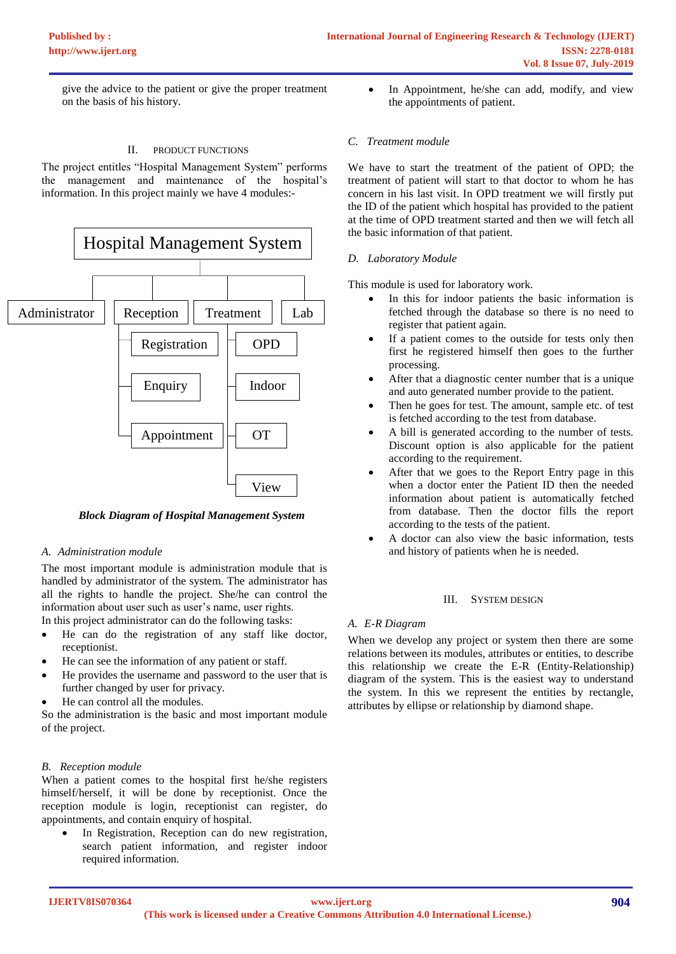give the advice to the patient or give the proper treatment on the basis of his history.

#### II. PRODUCT FUNCTIONS

The project entitles "Hospital Management System" performs the management and maintenance of the hospital's information. In this project mainly we have 4 modules:-



 *Block Diagram of Hospital Management System*

## *A. Administration module*

The most important module is administration module that is handled by administrator of the system. The administrator has all the rights to handle the project. She/he can control the information about user such as user's name, user rights.

In this project administrator can do the following tasks:

- He can do the registration of any staff like doctor, receptionist.
- He can see the information of any patient or staff.
- He provides the username and password to the user that is further changed by user for privacy.
- He can control all the modules.

So the administration is the basic and most important module of the project.

## *B. Reception module*

When a patient comes to the hospital first he/she registers himself/herself, it will be done by receptionist. Once the reception module is login, receptionist can register, do appointments, and contain enquiry of hospital.

In Registration, Reception can do new registration, search patient information, and register indoor required information.

• In Appointment, he/she can add, modify, and view the appointments of patient.

## *C. Treatment module*

We have to start the treatment of the patient of OPD; the treatment of patient will start to that doctor to whom he has concern in his last visit. In OPD treatment we will firstly put the ID of the patient which hospital has provided to the patient at the time of OPD treatment started and then we will fetch all the basic information of that patient.

#### *D. Laboratory Module*

This module is used for laboratory work.

- In this for indoor patients the basic information is fetched through the database so there is no need to register that patient again.
- If a patient comes to the outside for tests only then first he registered himself then goes to the further processing.
- After that a diagnostic center number that is a unique and auto generated number provide to the patient.
- Then he goes for test. The amount, sample etc. of test is fetched according to the test from database.
- A bill is generated according to the number of tests. Discount option is also applicable for the patient according to the requirement.
- After that we goes to the Report Entry page in this when a doctor enter the Patient ID then the needed information about patient is automatically fetched from database. Then the doctor fills the report according to the tests of the patient.
- A doctor can also view the basic information, tests and history of patients when he is needed.

## III. SYSTEM DESIGN

## *A. E-R Diagram*

When we develop any project or system then there are some relations between its modules, attributes or entities, to describe this relationship we create the E-R (Entity-Relationship) diagram of the system. This is the easiest way to understand the system. In this we represent the entities by rectangle, attributes by ellipse or relationship by diamond shape.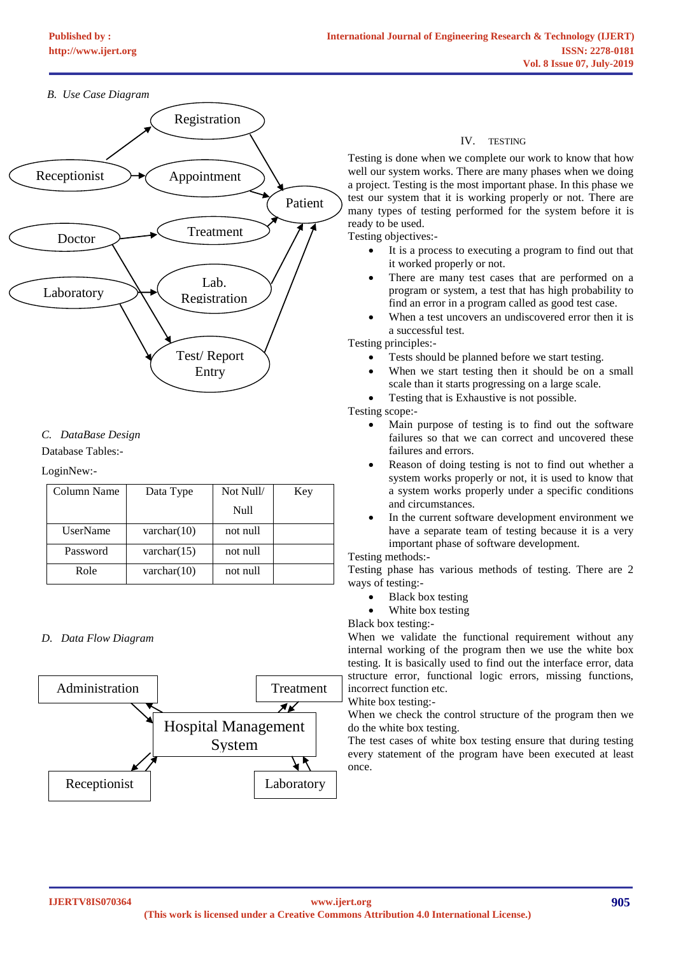# *B. Use Case Diagram*



# *C. DataBase Design*

Database Tables:-

## LoginNew:-

| Column Name     | Data Type      | Not Null/ | Key |
|-----------------|----------------|-----------|-----|
|                 |                | Null      |     |
| <b>UserName</b> | varchar $(10)$ | not null  |     |
| Password        | varchar $(15)$ | not null  |     |
| Role            | varchar $(10)$ | not null  |     |

## *D. Data Flow Diagram*



## IV. TESTING

Testing is done when we complete our work to know that how well our system works. There are many phases when we doing a project. Testing is the most important phase. In this phase we test our system that it is working properly or not. There are many types of testing performed for the system before it is ready to be used.

Testing objectives:-

- It is a process to executing a program to find out that it worked properly or not.
- There are many test cases that are performed on a program or system, a test that has high probability to find an error in a program called as good test case.
- When a test uncovers an undiscovered error then it is a successful test.

Testing principles:-

- Tests should be planned before we start testing.
- When we start testing then it should be on a small scale than it starts progressing on a large scale.
- Testing that is Exhaustive is not possible.

Testing scope:-

- Main purpose of testing is to find out the software failures so that we can correct and uncovered these failures and errors.
- Reason of doing testing is not to find out whether a system works properly or not, it is used to know that a system works properly under a specific conditions and circumstances.
- In the current software development environment we have a separate team of testing because it is a very important phase of software development.

## Testing methods:-

Testing phase has various methods of testing. There are 2 ways of testing:-

- Black box testing
- White box testing

Black box testing:-

When we validate the functional requirement without any internal working of the program then we use the white box testing. It is basically used to find out the interface error, data structure error, functional logic errors, missing functions, incorrect function etc.

White box testing:-

When we check the control structure of the program then we do the white box testing.

The test cases of white box testing ensure that during testing every statement of the program have been executed at least once.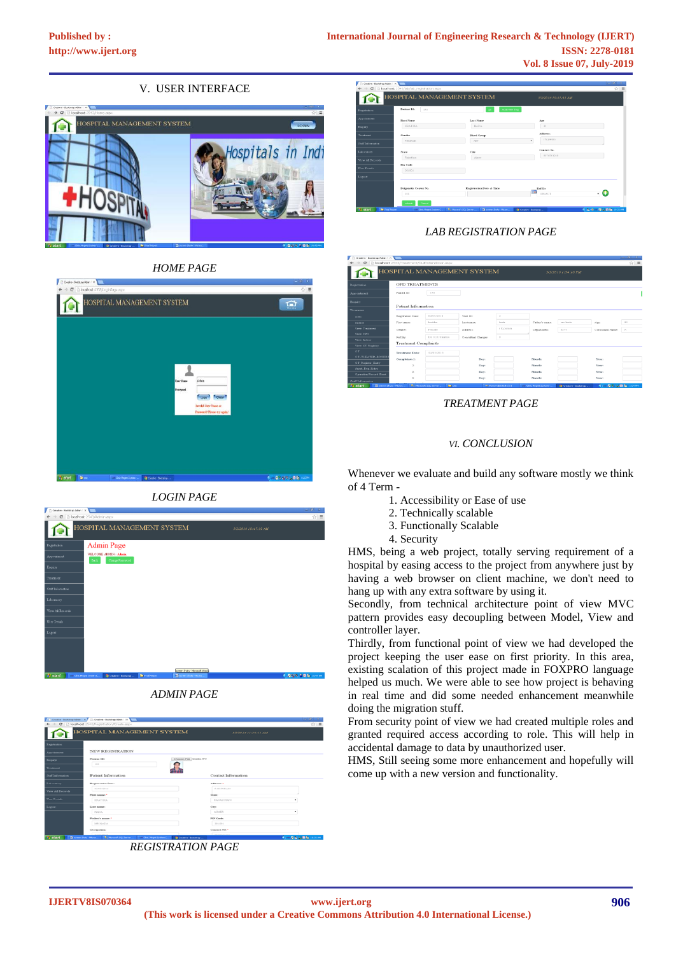# V. USER INTERFACE



## *HOME PAGE*









*REGISTRATION PAGE*

| Enginwation.        | Patient 1d<br>193     | Add New Reg.<br><b>State</b> |                       |     |
|---------------------|-----------------------|------------------------------|-----------------------|-----|
| <b>Are-ointment</b> | First Name            | Last Name                    | Age                   |     |
| <b>Enquiry</b>      | <b>KRATIKA</b>        | <b>HADA</b>                  | 23                    |     |
| Treatment           | Gender                | <b>Hood Group</b>            | Address:              |     |
| Staff Information   | FEMALE.               | All+                         | r le puram<br>$\cdot$ |     |
| Laboratory          | State                 | City                         | Contact No.           |     |
| View AI Records     | Rajarthan             | Aimer                        | 9876543210            |     |
| User Details        | Pin Code<br>301001    |                              |                       |     |
| Logout              |                       |                              |                       |     |
|                     | Daigenstic Center No. | Registration Date & Time     | Ref By                |     |
|                     | 108                   |                              | SELECT.               | - 4 |

# *LAB REGISTRATION PAGE*

| Creative - Bootstrap Admin 1 x 1                                |                                                     |                                            |                            |                          |                          |                                    |                            | $ -101x$   |  |  |
|-----------------------------------------------------------------|-----------------------------------------------------|--------------------------------------------|----------------------------|--------------------------|--------------------------|------------------------------------|----------------------------|------------|--|--|
|                                                                 | C [3] localhost: 2543/Treatment/OutPatientDoor.aspx |                                            |                            |                          |                          |                                    |                            | $\alpha =$ |  |  |
|                                                                 |                                                     |                                            | HOSPITAL MANAGEMENT SYSTEM |                          |                          | 5/2/2016 1:04:10 PM                |                            |            |  |  |
| Registration                                                    | <b>OPD TREATMENTS</b>                               |                                            |                            |                          |                          |                                    |                            |            |  |  |
| Appointment                                                     | Patient ID:                                         | 195                                        |                            |                          |                          |                                    |                            |            |  |  |
| Enquiry                                                         |                                                     |                                            |                            |                          |                          |                                    |                            |            |  |  |
| Treatment                                                       | Patient Information                                 |                                            |                            |                          |                          |                                    |                            |            |  |  |
| OPD.                                                            | Regetration Date:                                   | 02/05/2016                                 | <b>Mek ITV</b>             | $\overline{2}$           |                          |                                    |                            |            |  |  |
| Indoor                                                          | First name:                                         | <b>Icratifica</b>                          | Last same:                 | backs.                   | Eather's name:           | reer Justin                        | Age:                       | 23         |  |  |
| <b>View Treatment</b>                                           | Gender                                              | Female                                     | Address                    | r is puram.              | Department:              | <b>ENT</b>                         | Consultant Name:           | $\sim$     |  |  |
| View OPD<br>View Indoor                                         | Ref.By:                                             | Dr. K.K Sharma                             | Consultant Charges:        | $\circ$                  |                          |                                    |                            |            |  |  |
| View OT Registry                                                | <b>Treatment Complaints</b>                         |                                            |                            |                          |                          |                                    |                            |            |  |  |
| $^{\circ}$                                                      | Teachtroppe Distant                                 | 02/05/2016                                 |                            |                          |                          |                                    |                            |            |  |  |
| <b>OT_THEATER_BOOKIP</b>                                        | Complaints 1:                                       |                                            | Day:                       |                          | <b>Nissanth</b>          |                                    | Vear:                      |            |  |  |
| OT Resister Entry                                               | $\mathfrak{D}$                                      |                                            | Day:                       |                          | Mandle <sup>1</sup>      |                                    | Vesse:                     |            |  |  |
| Apert. Reg. Entry<br>Operation Record Sheet                     |                                                     |                                            | Day:                       |                          | <b>Nissativ</b>          |                                    | Year:                      |            |  |  |
|                                                                 | $\boldsymbol{A}$                                    |                                            | Day:                       |                          | Manth:                   |                                    | Year:                      |            |  |  |
| Staff Information<br>Ta screen Shots - Monte<br><b>El start</b> |                                                     | Rei Neroen SOL Server .<br><b>Chairman</b> |                            | The Removable Olds (Dr.) | can Cirec Hoget System - | <b>Sir Creative - Inspirituan </b> | <b>COMPRESSIONS</b> TO FEE |            |  |  |

## *TREATMENT PAGE*

## *VI. CONCLUSION*

Whenever we evaluate and build any software mostly we think of 4 Term -

- 1. Accessibility or Ease of use
- 2. Technically scalable
- 3. Functionally Scalable
- 4. Security

HMS, being a web project, totally serving requirement of a hospital by easing access to the project from anywhere just by having a web browser on client machine, we don't need to hang up with any extra software by using it.

Secondly, from technical architecture point of view MVC pattern provides easy decoupling between Model, View and controller layer.

Thirdly, from functional point of view we had developed the project keeping the user ease on first priority. In this area, existing scalation of this project made in FOXPRO language helped us much. We were able to see how project is behaving in real time and did some needed enhancement meanwhile doing the migration stuff.

From security point of view we had created multiple roles and granted required access according to role. This will help in accidental damage to data by unauthorized user.

HMS, Still seeing some more enhancement and hopefully will come up with a new version and functionality.

#### **IJERTV8IS070364**